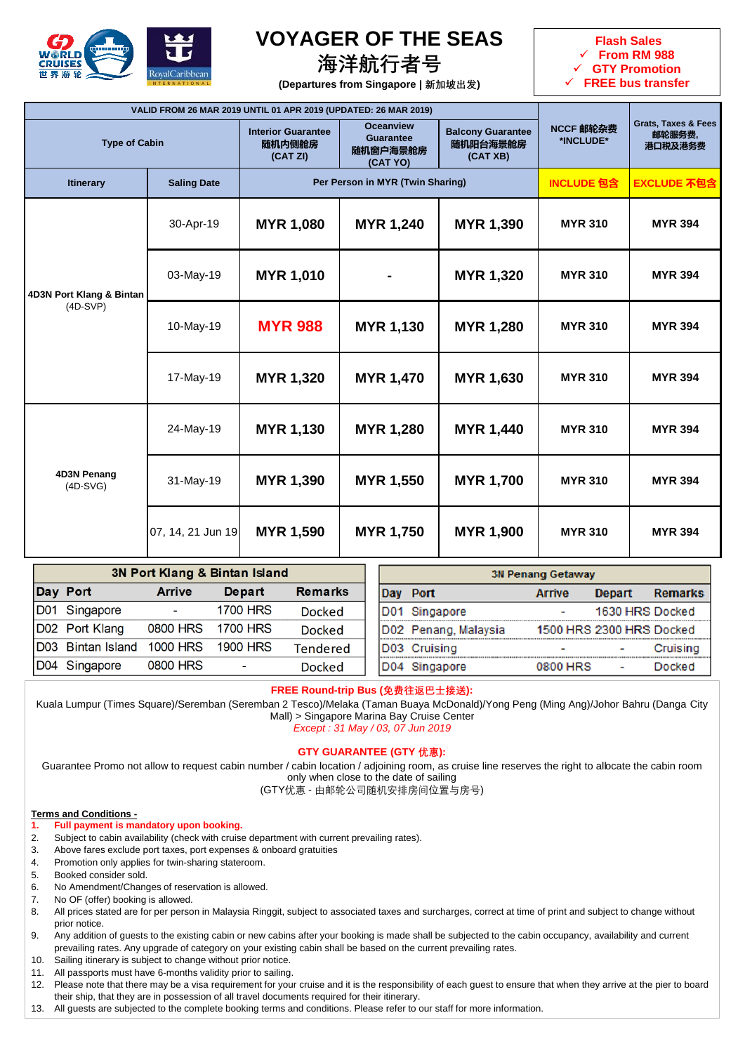

# **VOYAGER OF THE SEAS**

**海洋航行者号**



**(Departures from Singapore | 新加坡出发)**

| VALID FROM 26 MAR 2019 UNTIL 01 APR 2019 (UPDATED: 26 MAR 2019)     |                    |                                                                                                                                                                     |                  |                        |                                                     |                    |
|---------------------------------------------------------------------|--------------------|---------------------------------------------------------------------------------------------------------------------------------------------------------------------|------------------|------------------------|-----------------------------------------------------|--------------------|
| <b>Type of Cabin</b>                                                |                    | <b>Oceanview</b><br><b>Interior Guarantee</b><br><b>Balcony Guarantee</b><br><b>Guarantee</b><br>随机阳台海景舱房<br>随机内侧舱房<br>随机窗户海景舱房<br>(CAT XB)<br>(CAT ZI)<br>(CAT YO) |                  | NCCF 邮轮杂费<br>*INCLUDE* | <b>Grats, Taxes &amp; Fees</b><br>邮轮服务费,<br>港口税及港务费 |                    |
| <b>Itinerary</b>                                                    | <b>Saling Date</b> | Per Person in MYR (Twin Sharing)                                                                                                                                    |                  |                        | <b>INCLUDE</b> <sub>包含</sub>                        | <b>EXCLUDE 不包含</b> |
|                                                                     | 30-Apr-19          | <b>MYR 1,080</b>                                                                                                                                                    | <b>MYR 1,240</b> | MYR 1,390              | <b>MYR 310</b>                                      | <b>MYR 394</b>     |
| 4D3N Port Klang & Bintan<br>$(4D-SVP)$<br>4D3N Penang<br>$(4D-SVG)$ | 03-May-19          | <b>MYR 1,010</b>                                                                                                                                                    |                  | MYR 1,320              | <b>MYR 310</b>                                      | <b>MYR 394</b>     |
|                                                                     | 10-May-19          | <b>MYR 988</b>                                                                                                                                                      | MYR 1,130        | <b>MYR 1,280</b>       | <b>MYR 310</b>                                      | <b>MYR 394</b>     |
|                                                                     | 17-May-19          | <b>MYR 1,320</b>                                                                                                                                                    | MYR 1,470        | <b>MYR 1,630</b>       | <b>MYR 310</b>                                      | <b>MYR 394</b>     |
|                                                                     | 24-May-19          | <b>MYR 1,130</b>                                                                                                                                                    | <b>MYR 1,280</b> | MYR 1,440              | <b>MYR 310</b>                                      | <b>MYR 394</b>     |
|                                                                     | 31-May-19          | MYR 1,390                                                                                                                                                           | MYR 1,550        | <b>MYR 1,700</b>       | <b>MYR 310</b>                                      | <b>MYR 394</b>     |
|                                                                     | 07, 14, 21 Jun 19  | <b>MYR 1,590</b>                                                                                                                                                    | <b>MYR 1,750</b> | <b>MYR 1,900</b>       | <b>MYR 310</b>                                      | <b>MYR 394</b>     |

|     | 3N Port Klang & Bintan Island |                 |                          |                |  | <b>3N Penang Getaway</b> |                          |                 |                |  |
|-----|-------------------------------|-----------------|--------------------------|----------------|--|--------------------------|--------------------------|-----------------|----------------|--|
|     | Day Port                      | <b>Arrive</b>   | Depart                   | <b>Remarks</b> |  | Day Port                 | <b>Arrive</b>            | <b>Depart</b>   | <b>Remarks</b> |  |
|     | D01 Singapore                 | $\blacksquare$  | <b>1700 HRS</b>          | <b>Docked</b>  |  | D01 Singapore            | ٠                        | 1630 HRS Docked |                |  |
|     | D02 Port Klang                | 0800 HRS        | 1700 HRS                 | Docked         |  | D02 Penang, Malaysia     | 1500 HRS 2300 HRS Docked |                 |                |  |
|     | D03 Bintan Island             | <b>1000 HRS</b> | <b>1900 HRS</b>          | Tendered       |  | D03 Cruising             | $\overline{\phantom{a}}$ |                 | Cruisina       |  |
| D04 | Singapore                     | 0800 HRS        | $\overline{\phantom{0}}$ | Docked         |  | D04 Singapore            | 0800 HRS                 |                 | Docked         |  |

### **FREE Round-trip Bus (免费往返巴士接送):**

Kuala Lumpur (Times Square)/Seremban (Seremban 2 Tesco)/Melaka (Taman Buaya McDonald)/Yong Peng (Ming Ang)/Johor Bahru (Danga City Mall) > Singapore Marina Bay Cruise Center

*Except : 31 May / 03, 07 Jun 2019*

## **GTY GUARANTEE (GTY 优惠):**

Guarantee Promo not allow to request cabin number / cabin location / adjoining room, as cruise line reserves the right to albcate the cabin room only when close to the date of sailing

(GTY优惠 - 由邮轮公司随机安排房间位置与房号)

#### **Terms and Conditions -**

## **1. Full payment is mandatory upon booking.**

- 2. Subject to cabin availability (check with cruise department with current prevailing rates).
- 3. Above fares exclude port taxes, port expenses & onboard gratuities
- 4. Promotion only applies for twin-sharing stateroom.
- 5. Booked consider sold.
- 6. No Amendment/Changes of reservation is allowed.
- 7. No OF (offer) booking is allowed.
- 8. All prices stated are for per person in Malaysia Ringgit, subject to associated taxes and surcharges, correct at time of print and subject to change without prior notice.
- 9. Any addition of guests to the existing cabin or new cabins after your booking is made shall be subjected to the cabin occupancy, availability and current prevailing rates. Any upgrade of category on your existing cabin shall be based on the current prevailing rates.
- 10. Sailing itinerary is subject to change without prior notice.
- 11. All passports must have 6-months validity prior to sailing.
- 12. Please note that there may be a visa requirement for your cruise and it is the responsibility of each guest to ensure that when they arrive at the pier to board their ship, that they are in possession of all travel documents required for their itinerary.
- 13. All guests are subjected to the complete booking terms and conditions. Please refer to our staff for more information.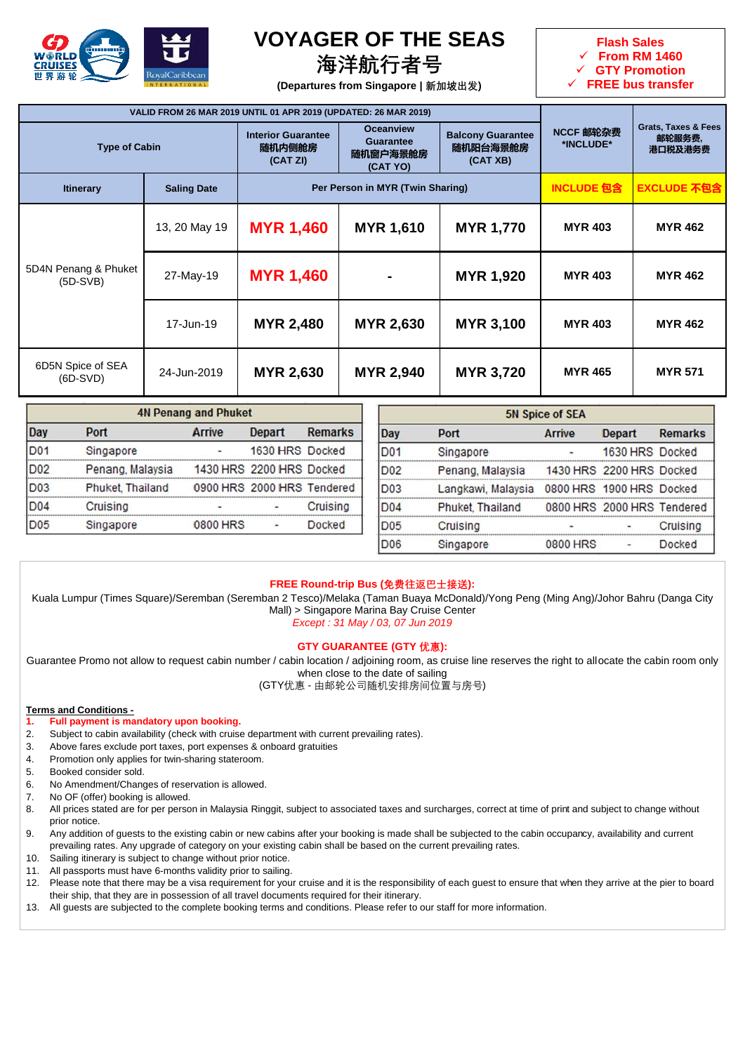

## **VOYAGER OF THE SEAS**

## **海洋航行者号**



**(Departures from Singapore | 新加坡出发)**

|                                    | VALID FROM 26 MAR 2019 UNTIL 01 APR 2019 (UPDATED: 26 MAR 2019) |                                                 |                                                       |                                                  |                        |                                                     |
|------------------------------------|-----------------------------------------------------------------|-------------------------------------------------|-------------------------------------------------------|--------------------------------------------------|------------------------|-----------------------------------------------------|
| <b>Type of Cabin</b>               |                                                                 | <b>Interior Guarantee</b><br>随机内侧舱房<br>(CAT ZI) | <b>Oceanview</b><br>Guarantee<br>随机窗户海景舱房<br>(CAT YO) | <b>Balcony Guarantee</b><br>随机阳台海景舱房<br>(CAT XB) | NCCF 邮轮杂费<br>*INCLUDE* | <b>Grats, Taxes &amp; Fees</b><br>邮轮服务费,<br>港口税及港务费 |
| <b>Itinerary</b>                   | <b>Saling Date</b>                                              | Per Person in MYR (Twin Sharing)                |                                                       | <b>INCLUDE 包含</b>                                | <b>EXCLUDE 不包含</b>     |                                                     |
|                                    | 13, 20 May 19                                                   | <b>MYR 1,460</b>                                | MYR 1,610                                             | <b>MYR 1,770</b>                                 | <b>MYR 403</b>         | <b>MYR 462</b>                                      |
| 5D4N Penang & Phuket<br>$(5D-SVB)$ | 27-May-19                                                       | <b>MYR 1,460</b>                                |                                                       | MYR 1,920                                        | <b>MYR 403</b>         | <b>MYR 462</b>                                      |
|                                    | 17-Jun-19                                                       | <b>MYR 2,480</b>                                | <b>MYR 2,630</b>                                      | <b>MYR 3,100</b>                                 | <b>MYR 403</b>         | <b>MYR 462</b>                                      |
| 6D5N Spice of SEA<br>$(6D-SVD)$    | 24-Jun-2019                                                     | <b>MYR 2,630</b>                                | <b>MYR 2,940</b>                                      | <b>MYR 3,720</b>                                 | <b>MYR 465</b>         | <b>MYR 571</b>                                      |

| <b>4N Penang and Phuket</b> |                  |               |                            | <b>5N Spice of SEA</b> |                 |                    |                          |                            |                |
|-----------------------------|------------------|---------------|----------------------------|------------------------|-----------------|--------------------|--------------------------|----------------------------|----------------|
| Day                         | Port             | <b>Arrive</b> | Depart                     | <b>Remarks</b>         | Day             | Port               | Arrive                   | <b>Depart</b>              | <b>Remarks</b> |
| <b>D01</b>                  | Singapore        |               | 1630 HRS Docked            |                        | D <sub>01</sub> | Singapore          |                          | 1630 HRS Docked            |                |
| D <sub>02</sub>             | Penang, Malaysia |               | 1430 HRS 2200 HRS Docked   |                        | D <sub>02</sub> | Penang, Malaysia   |                          | 1430 HRS 2200 HRS Docked   |                |
| D <sub>03</sub>             | Phuket, Thailand |               | 0900 HRS 2000 HRS Tendered |                        | ID03            | Langkawi, Malaysia | 0800 HRS 1900 HRS Docked |                            |                |
| <b>D04</b>                  | Cruising         |               | ۰                          | Cruising               | D <sub>04</sub> | Phuket, Thailand   |                          | 0800 HRS 2000 HRS Tendered |                |
| <b>D05</b>                  | Singapore        | 0800 HRS      | ۰                          | <b>Docked</b>          | D <sub>05</sub> | Cruising           |                          |                            | Cruising       |
|                             |                  |               |                            |                        | D <sub>06</sub> | Singapore          | 0800 HRS                 |                            | <b>Docked</b>  |

## **FREE Round-trip Bus (免费往返巴士接送):**

Kuala Lumpur (Times Square)/Seremban (Seremban 2 Tesco)/Melaka (Taman Buaya McDonald)/Yong Peng (Ming Ang)/Johor Bahru (Danga City Mall) > Singapore Marina Bay Cruise Center

*Except : 31 May / 03, 07 Jun 2019*

### **GTY GUARANTEE (GTY 优惠):**

Guarantee Promo not allow to request cabin number / cabin location / adjoining room, as cruise line reserves the right to allocate the cabin room only when close to the date of sailing

(GTY优惠 - 由邮轮公司随机安排房间位置与房号)

**Terms and Conditions -**

- **1. Full payment is mandatory upon booking.**
- 2. Subject to cabin availability (check with cruise department with current prevailing rates).
- 3. Above fares exclude port taxes, port expenses & onboard gratuities
- 4. Promotion only applies for twin-sharing stateroom.
- 5. Booked consider sold.
- 6. No Amendment/Changes of reservation is allowed.
- 7. No OF (offer) booking is allowed.
- 8. All prices stated are for per person in Malaysia Ringgit, subject to associated taxes and surcharges, correct at time of print and subject to change without prior notice.
- 9. Any addition of guests to the existing cabin or new cabins after your booking is made shall be subjected to the cabin occupancy, availability and current prevailing rates. Any upgrade of category on your existing cabin shall be based on the current prevailing rates.
- 10. Sailing itinerary is subject to change without prior notice.
- 11. All passports must have 6-months validity prior to sailing.
- 12. Please note that there may be a visa requirement for your cruise and it is the responsibility of each guest to ensure that when they arrive at the pier to board their ship, that they are in possession of all travel documents required for their itinerary.
- 13. All guests are subjected to the complete booking terms and conditions. Please refer to our staff for more information.